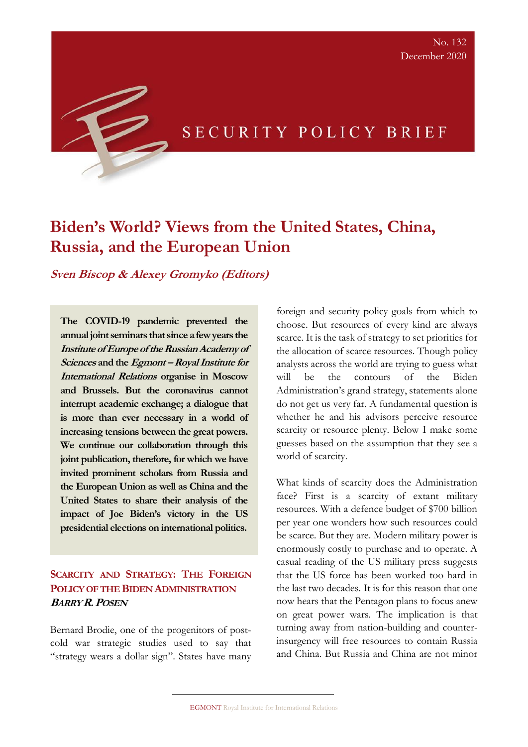# SECURITY POLICY BRIEF

# **Biden's World? Views from the United States, China, Russia, and the European Union**

**Sven Biscop & Alexey Gromyko (Editors)** 

**The COVID-19 pandemic prevented the annual joint seminars that since a few years the Institute of Europe of the Russian Academy of Sciences and the Egmont –Royal Institute for International Relations organise in Moscow and Brussels. But the coronavirus cannot interrupt academic exchange; a dialogue that is more than ever necessary in a world of increasing tensions between the great powers. We continue our collaboration through this joint publication, therefore, for which we have invited prominent scholars from Russia and the European Union as well as China and the United States to share their analysis of the impact of Joe Biden's victory in the US presidential elections on international politics.**

# **SCARCITY AND STRATEGY: THE FOREIGN POLICY OF THE BIDEN ADMINISTRATION BARRY R.POSEN**

Bernard Brodie, one of the progenitors of postcold war strategic studies used to say that "strategy wears a dollar sign". States have many foreign and security policy goals from which to choose. But resources of every kind are always scarce. It is the task of strategy to set priorities for the allocation of scarce resources. Though policy analysts across the world are trying to guess what will be the contours of the Biden Administration's grand strategy, statements alone do not get us very far. A fundamental question is whether he and his advisors perceive resource scarcity or resource plenty. Below I make some guesses based on the assumption that they see a world of scarcity.

What kinds of scarcity does the Administration face? First is a scarcity of extant military resources. With a defence budget of \$700 billion per year one wonders how such resources could be scarce. But they are. Modern military power is enormously costly to purchase and to operate. A casual reading of the US military press suggests that the US force has been worked too hard in the last two decades. It is for this reason that one now hears that the Pentagon plans to focus anew on great power wars. The implication is that turning away from nation-building and counterinsurgency will free resources to contain Russia and China. But Russia and China are not minor

EGMONT Royal Institute for International Relations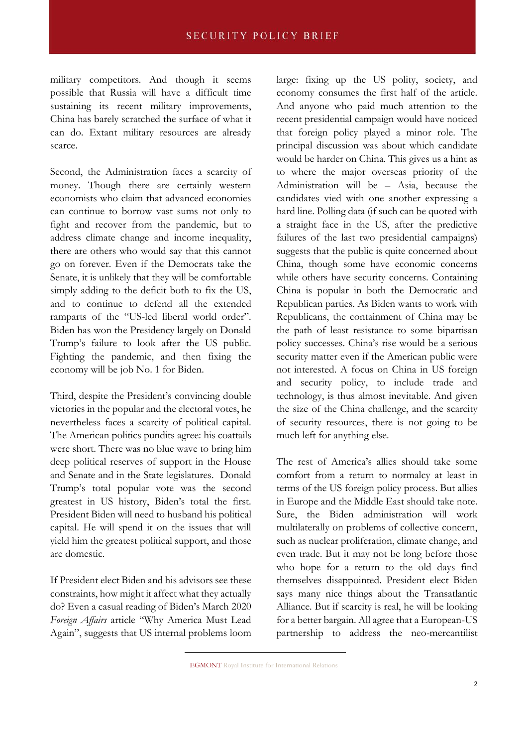military competitors. And though it seems possible that Russia will have a difficult time sustaining its recent military improvements, China has barely scratched the surface of what it can do. Extant military resources are already scarce.

Second, the Administration faces a scarcity of money. Though there are certainly western economists who claim that advanced economies can continue to borrow vast sums not only to fight and recover from the pandemic, but to address climate change and income inequality, there are others who would say that this cannot go on forever. Even if the Democrats take the Senate, it is unlikely that they will be comfortable simply adding to the deficit both to fix the US, and to continue to defend all the extended ramparts of the "US-led liberal world order". Biden has won the Presidency largely on Donald Trump's failure to look after the US public. Fighting the pandemic, and then fixing the economy will be job No. 1 for Biden.

Third, despite the President's convincing double victories in the popular and the electoral votes, he nevertheless faces a scarcity of political capital. The American politics pundits agree: his coattails were short. There was no blue wave to bring him deep political reserves of support in the House and Senate and in the State legislatures. Donald Trump's total popular vote was the second greatest in US history, Biden's total the first. President Biden will need to husband his political capital. He will spend it on the issues that will yield him the greatest political support, and those are domestic.

If President elect Biden and his advisors see these constraints, how might it affect what they actually do? Even a casual reading of Biden's March 2020 *Foreign Affairs* article "Why America Must Lead Again", suggests that US internal problems loom large: fixing up the US polity, society, and economy consumes the first half of the article. And anyone who paid much attention to the recent presidential campaign would have noticed that foreign policy played a minor role. The principal discussion was about which candidate would be harder on China. This gives us a hint as to where the major overseas priority of the Administration will be – Asia, because the candidates vied with one another expressing a hard line. Polling data (if such can be quoted with a straight face in the US, after the predictive failures of the last two presidential campaigns) suggests that the public is quite concerned about China, though some have economic concerns while others have security concerns. Containing China is popular in both the Democratic and Republican parties. As Biden wants to work with Republicans, the containment of China may be the path of least resistance to some bipartisan policy successes. China's rise would be a serious security matter even if the American public were not interested. A focus on China in US foreign and security policy, to include trade and technology, is thus almost inevitable. And given the size of the China challenge, and the scarcity of security resources, there is not going to be much left for anything else.

The rest of America's allies should take some comfort from a return to normalcy at least in terms of the US foreign policy process. But allies in Europe and the Middle East should take note. Sure, the Biden administration will work multilaterally on problems of collective concern, such as nuclear proliferation, climate change, and even trade. But it may not be long before those who hope for a return to the old days find themselves disappointed. President elect Biden says many nice things about the Transatlantic Alliance. But if scarcity is real, he will be looking for a better bargain. All agree that a European-US partnership to address the neo-mercantilist

EGMONT Royal Institute for International Relations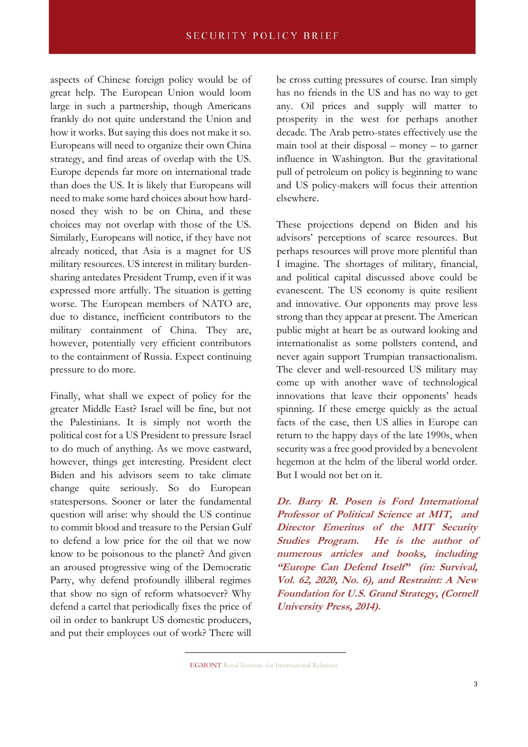aspects of Chinese foreign policy would be of great help. The European Union would loom large in such a partnership, though Americans frankly do not quite understand the Union and how it works. But saying this does not make it so. Europeans will need to organize their own China strategy, and find areas of overlap with the US. Europe depends far more on international trade than does the US. It is likely that Europeans will need to make some hard choices about how hardnosed they wish to be on China, and these choices may not overlap with those of the US. Similarly, Europeans will notice, if they have not already noticed, that Asia is a magnet for US military resources. US interest in military burdensharing antedates President Trump, even if it was expressed more artfully. The situation is getting worse. The European members of NATO are, due to distance, inefficient contributors to the military containment of China. They are, however, potentially very efficient contributors to the containment of Russia. Expect continuing pressure to do more.

Finally, what shall we expect of policy for the greater Middle East? Israel will be fine, but not the Palestinians. It is simply not worth the political cost for a US President to pressure Israel to do much of anything. As we move eastward, however, things get interesting. President elect Biden and his advisors seem to take climate change quite seriously. So do European statespersons. Sooner or later the fundamental question will arise: why should the US continue to commit blood and treasure to the Persian Gulf to defend a low price for the oil that we now know to be poisonous to the planet? And given an aroused progressive wing of the Democratic Party, why defend profoundly illiberal regimes that show no sign of reform whatsoever? Why defend a cartel that periodically fixes the price of oil in order to bankrupt US domestic producers, and put their employees out of work? There will

be cross cutting pressures of course. Iran simply has no friends in the US and has no way to get any. Oil prices and supply will matter to prosperity in the west for perhaps another decade. The Arab petro-states effectively use the main tool at their disposal – money – to garner influence in Washington. But the gravitational pull of petroleum on policy is beginning to wane and US policy-makers will focus their attention elsewhere.

These projections depend on Biden and his advisors' perceptions of scarce resources. But perhaps resources will prove more plentiful than I imagine. The shortages of military, financial, and political capital discussed above could be evanescent. The US economy is quite resilient and innovative. Our opponents may prove less strong than they appear at present. The American public might at heart be as outward looking and internationalist as some pollsters contend, and never again support Trumpian transactionalism. The clever and well-resourced US military may come up with another wave of technological innovations that leave their opponents' heads spinning. If these emerge quickly as the actual facts of the case, then US allies in Europe can return to the happy days of the late 1990s, when security was a free good provided by a benevolent hegemon at the helm of the liberal world order. But I would not bet on it.

**Dr. Barry R. Posen is Ford International Professor of Political Science at MIT, and Director Emeritus of the MIT Security Studies Program. He is the author of numerous articles and books, including "Europe Can Defend Itself" (in: Survival, Vol. 62, 2020, No. 6), and Restraint: A New Foundation for U.S. Grand Strategy, (Cornell University Press, 2014).**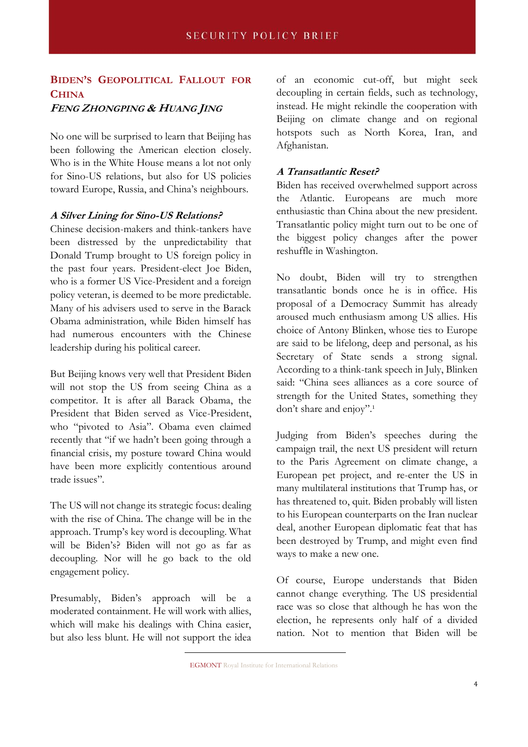# **BIDEN'S GEOPOLITICAL FALLOUT FOR CHINA FENG ZHONGPING & HUANG JING**

No one will be surprised to learn that Beijing has been following the American election closely. Who is in the White House means a lot not only for Sino-US relations, but also for US policies toward Europe, Russia, and China's neighbours.

#### **A Silver Lining for Sino-US Relations?**

Chinese decision-makers and think-tankers have been distressed by the unpredictability that Donald Trump brought to US foreign policy in the past four years. President-elect Joe Biden, who is a former US Vice-President and a foreign policy veteran, is deemed to be more predictable. Many of his advisers used to serve in the Barack Obama administration, while Biden himself has had numerous encounters with the Chinese leadership during his political career.

But Beijing knows very well that President Biden will not stop the US from seeing China as a competitor. It is after all Barack Obama, the President that Biden served as Vice-President, who "pivoted to Asia". Obama even claimed recently that "if we hadn't been going through a financial crisis, my posture toward China would have been more explicitly contentious around trade issues".

The US will not change its strategic focus: dealing with the rise of China. The change will be in the approach. Trump's key word is decoupling. What will be Biden's? Biden will not go as far as decoupling. Nor will he go back to the old engagement policy.

Presumably, Biden's approach will be a moderated containment. He will work with allies, which will make his dealings with China easier, but also less blunt. He will not support the idea of an economic cut-off, but might seek decoupling in certain fields, such as technology, instead. He might rekindle the cooperation with Beijing on climate change and on regional hotspots such as North Korea, Iran, and Afghanistan.

#### **A Transatlantic Reset?**

Biden has received overwhelmed support across the Atlantic. Europeans are much more enthusiastic than China about the new president. Transatlantic policy might turn out to be one of the biggest policy changes after the power reshuffle in Washington.

No doubt, Biden will try to strengthen transatlantic bonds once he is in office. His proposal of a Democracy Summit has already aroused much enthusiasm among US allies. His choice of Antony Blinken, whose ties to Europe are said to be lifelong, deep and personal, as his Secretary of State sends a strong signal. According to a think-tank speech in July, Blinken said: "China sees alliances as a core source of strength for the United States, something they don't share and enjoy". 1

Judging from Biden's speeches during the campaign trail, the next US president will return to the Paris Agreement on climate change, a European pet project, and re-enter the US in many multilateral institutions that Trump has, or has threatened to, quit. Biden probably will listen to his European counterparts on the Iran nuclear deal, another European diplomatic feat that has been destroyed by Trump, and might even find ways to make a new one.

Of course, Europe understands that Biden cannot change everything. The US presidential race was so close that although he has won the election, he represents only half of a divided nation. Not to mention that Biden will be

EGMONT Royal Institute for International Relations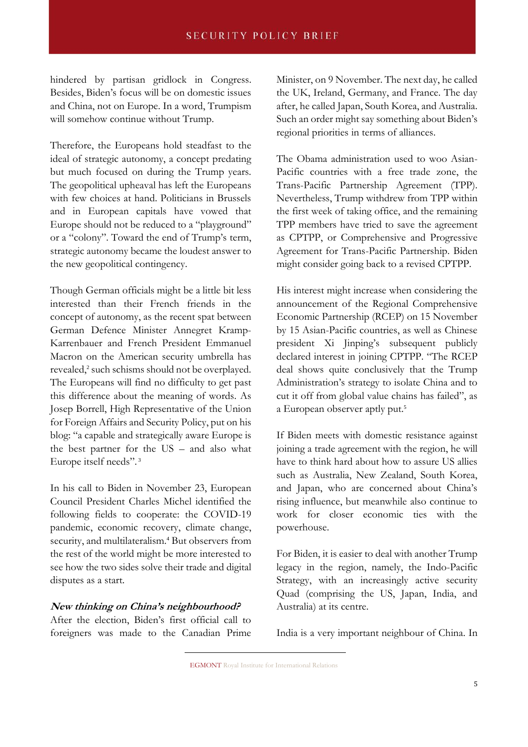hindered by partisan gridlock in Congress. Besides, Biden's focus will be on domestic issues and China, not on Europe. In a word, Trumpism will somehow continue without Trump.

Therefore, the Europeans hold steadfast to the ideal of strategic autonomy, a concept predating but much focused on during the Trump years. The geopolitical upheaval has left the Europeans with few choices at hand. Politicians in Brussels and in European capitals have vowed that Europe should not be reduced to a "playground" or a "colony". Toward the end of Trump's term, strategic autonomy became the loudest answer to the new geopolitical contingency.

Though German officials might be a little bit less interested than their French friends in the concept of autonomy, as the recent spat between German Defence Minister Annegret Kramp-Karrenbauer and French President Emmanuel Macron on the American security umbrella has revealed,<sup>2</sup> such schisms should not be overplayed. The Europeans will find no difficulty to get past this difference about the meaning of words. As Josep Borrell, High Representative of the Union for Foreign Affairs and Security Policy, put on his blog: "a capable and strategically aware Europe is the best partner for the US – and also what Europe itself needs". 3

In his call to Biden in November 23, European Council President Charles Michel identified the following fields to cooperate: the COVID-19 pandemic, economic recovery, climate change, security, and multilateralism.<sup>4</sup> But observers from the rest of the world might be more interested to see how the two sides solve their trade and digital disputes as a start.

#### **New thinking on China's neighbourhood?**

After the election, Biden's first official call to foreigners was made to the Canadian Prime Minister, on 9 November. The next day, he called the UK, Ireland, Germany, and France. The day after, he called Japan, South Korea, and Australia. Such an order might say something about Biden's regional priorities in terms of alliances.

The Obama administration used to woo Asian-Pacific countries with a free trade zone, the Trans-Pacific Partnership Agreement (TPP). Nevertheless, Trump withdrew from TPP within the first week of taking office, and the remaining TPP members have tried to save the agreement as CPTPP, or Comprehensive and Progressive Agreement for Trans-Pacific Partnership. Biden might consider going back to a revised CPTPP.

His interest might increase when considering the announcement of the Regional Comprehensive Economic Partnership (RCEP) on 15 November by 15 Asian-Pacific countries, as well as Chinese president Xi Jinping's subsequent publicly declared interest in joining CPTPP. "The RCEP deal shows quite conclusively that the Trump Administration's strategy to isolate China and to cut it off from global value chains has failed", as a European observer aptly put.<sup>5</sup>

If Biden meets with domestic resistance against joining a trade agreement with the region, he will have to think hard about how to assure US allies such as Australia, New Zealand, South Korea, and Japan, who are concerned about China's rising influence, but meanwhile also continue to work for closer economic ties with the powerhouse.

For Biden, it is easier to deal with another Trump legacy in the region, namely, the Indo-Pacific Strategy, with an increasingly active security Quad (comprising the US, Japan, India, and Australia) at its centre.

India is a very important neighbour of China. In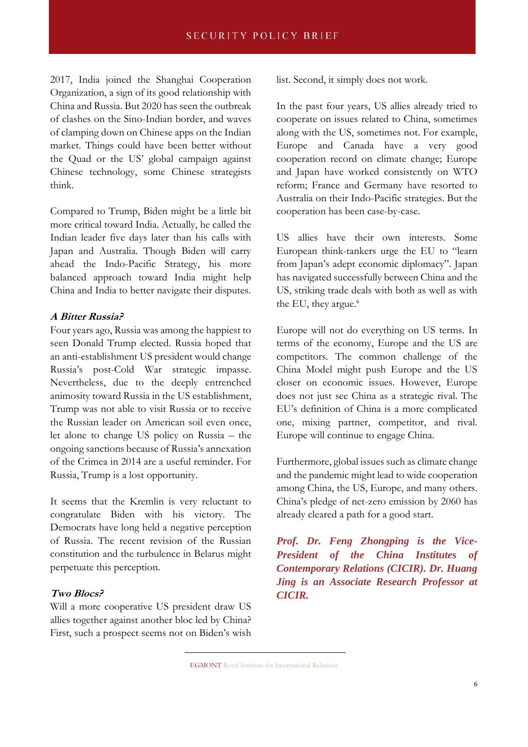2017, India joined the Shanghai Cooperation Organization, a sign of its good relationship with China and Russia. But 2020 has seen the outbreak of clashes on the Sino-Indian border, and waves of clamping down on Chinese apps on the Indian market. Things could have been better without the Quad or the US' global campaign against Chinese technology, some Chinese strategists think.

Compared to Trump, Biden might be a little bit more critical toward India. Actually, he called the Indian leader five days later than his calls with Japan and Australia. Though Biden will carry ahead the Indo-Pacific Strategy, his more balanced approach toward India might help China and India to better navigate their disputes.

#### **A Bitter Russia?**

Four years ago, Russia was among the happiest to seen Donald Trump elected. Russia hoped that an anti-establishment US president would change Russia's post-Cold War strategic impasse. Nevertheless, due to the deeply entrenched animosity toward Russia in the US establishment, Trump was not able to visit Russia or to receive the Russian leader on American soil even once, let alone to change US policy on Russia – the ongoing sanctions because of Russia's annexation of the Crimea in 2014 are a useful reminder. For Russia, Trump is a lost opportunity.

It seems that the Kremlin is very reluctant to congratulate Biden with his victory. The Democrats have long held a negative perception of Russia. The recent revision of the Russian constitution and the turbulence in Belarus might perpetuate this perception.

#### **Two Blocs?**

Will a more cooperative US president draw US allies together against another bloc led by China? First, such a prospect seems not on Biden's wish list. Second, it simply does not work.

In the past four years, US allies already tried to cooperate on issues related to China, sometimes along with the US, sometimes not. For example, Europe and Canada have a very good cooperation record on climate change; Europe and Japan have worked consistently on WTO reform; France and Germany have resorted to Australia on their Indo-Pacific strategies. But the cooperation has been case-by-case.

US allies have their own interests. Some European think-tankers urge the EU to "learn from Japan's adept economic diplomacy". Japan has navigated successfully between China and the US, striking trade deals with both as well as with the EU, they argue.<sup>6</sup>

Europe will not do everything on US terms. In terms of the economy, Europe and the US are competitors. The common challenge of the China Model might push Europe and the US closer on economic issues. However, Europe does not just see China as a strategic rival. The EU's definition of China is a more complicated one, mixing partner, competitor, and rival. Europe will continue to engage China.

Furthermore, global issues such as climate change and the pandemic might lead to wide cooperation among China, the US, Europe, and many others. China's pledge of net-zero emission by 2060 has already cleared a path for a good start.

*Prof. Dr. Feng Zhongping is the Vice-President of the China Institutes of Contemporary Relations (CICIR). Dr. Huang Jing is an Associate Research Professor at CICIR.*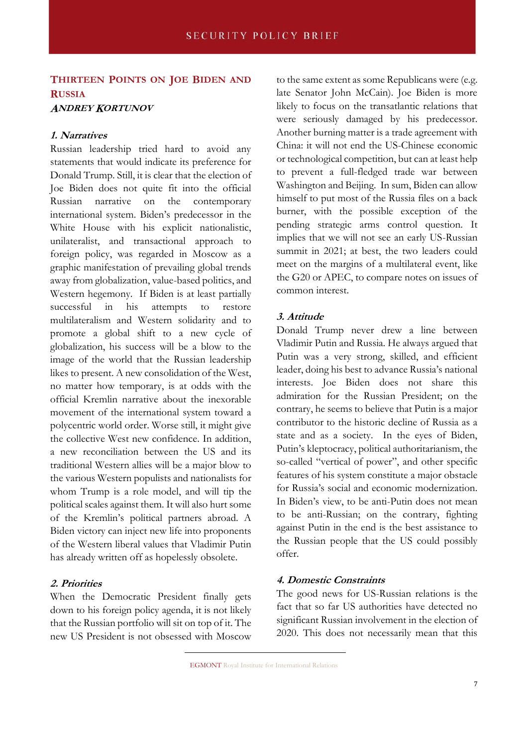# **THIRTEEN POINTS ON JOE BIDEN AND RUSSIA**

#### **ANDREY KORTUNOV**

#### **1. Narratives**

Russian leadership tried hard to avoid any statements that would indicate its preference for Donald Trump. Still, it is clear that the election of Joe Biden does not quite fit into the official Russian narrative on the contemporary international system. Biden's predecessor in the White House with his explicit nationalistic, unilateralist, and transactional approach to foreign policy, was regarded in Moscow as a graphic manifestation of prevailing global trends away from globalization, value-based politics, and Western hegemony. If Biden is at least partially successful in his attempts to restore multilateralism and Western solidarity and to promote a global shift to a new cycle of globalization, his success will be a blow to the image of the world that the Russian leadership likes to present. A new consolidation of the West, no matter how temporary, is at odds with the official Kremlin narrative about the inexorable movement of the international system toward a polycentric world order. Worse still, it might give the collective West new confidence. In addition, a new reconciliation between the US and its traditional Western allies will be a major blow to the various Western populists and nationalists for whom Trump is a role model, and will tip the political scales against them. It will also hurt some of the Kremlin's political partners abroad. A Biden victory can inject new life into proponents of the Western liberal values that Vladimir Putin has already written off as hopelessly obsolete.

#### **2. Priorities**

When the Democratic President finally gets down to his foreign policy agenda, it is not likely that the Russian portfolio will sit on top of it. The new US President is not obsessed with Moscow to the same extent as some Republicans were (e.g. late Senator John McCain). Joe Biden is more likely to focus on the transatlantic relations that were seriously damaged by his predecessor. Another burning matter is a trade agreement with China: it will not end the US-Chinese economic or technological competition, but can at least help to prevent a full-fledged trade war between Washington and Beijing. In sum, Biden can allow himself to put most of the Russia files on a back burner, with the possible exception of the pending strategic arms control question. It implies that we will not see an early US-Russian summit in 2021; at best, the two leaders could meet on the margins of a multilateral event, like the G20 or APEC, to compare notes on issues of common interest.

#### **3. Attitude**

Donald Trump never drew a line between Vladimir Putin and Russia. He always argued that Putin was a very strong, skilled, and efficient leader, doing his best to advance Russia's national interests. Joe Biden does not share this admiration for the Russian President; on the contrary, he seems to believe that Putin is a major contributor to the historic decline of Russia as a state and as a society. In the eyes of Biden, Putin's kleptocracy, political authoritarianism, the so-called "vertical of power", and other specific features of his system constitute a major obstacle for Russia's social and economic modernization. In Biden's view, to be anti-Putin does not mean to be anti-Russian; on the contrary, fighting against Putin in the end is the best assistance to the Russian people that the US could possibly offer.

#### **4. Domestic Constraints**

The good news for US-Russian relations is the fact that so far US authorities have detected no significant Russian involvement in the election of 2020. This does not necessarily mean that this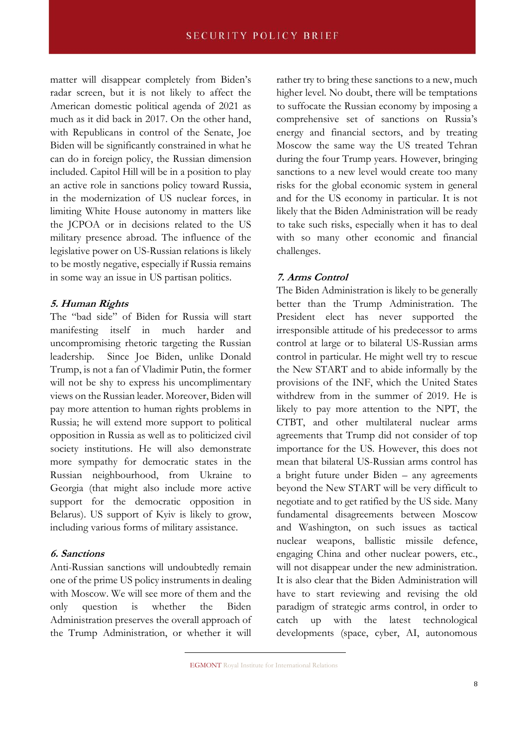matter will disappear completely from Biden's radar screen, but it is not likely to affect the American domestic political agenda of 2021 as much as it did back in 2017. On the other hand, with Republicans in control of the Senate, Joe Biden will be significantly constrained in what he can do in foreign policy, the Russian dimension included. Capitol Hill will be in a position to play an active role in sanctions policy toward Russia, in the modernization of US nuclear forces, in limiting White House autonomy in matters like the JCPOA or in decisions related to the US military presence abroad. The influence of the legislative power on US-Russian relations is likely to be mostly negative, especially if Russia remains in some way an issue in US partisan politics.

#### **5. Human Rights**

The "bad side" of Biden for Russia will start manifesting itself in much harder and uncompromising rhetoric targeting the Russian leadership. Since Joe Biden, unlike Donald Trump, is not a fan of Vladimir Putin, the former will not be shy to express his uncomplimentary views on the Russian leader. Moreover, Biden will pay more attention to human rights problems in Russia; he will extend more support to political opposition in Russia as well as to politicized civil society institutions. He will also demonstrate more sympathy for democratic states in the Russian neighbourhood, from Ukraine to Georgia (that might also include more active support for the democratic opposition in Belarus). US support of Kyiv is likely to grow, including various forms of military assistance.

#### **6. Sanctions**

Anti-Russian sanctions will undoubtedly remain one of the prime US policy instruments in dealing with Moscow. We will see more of them and the only question is whether the Biden Administration preserves the overall approach of the Trump Administration, or whether it will

rather try to bring these sanctions to a new, much higher level. No doubt, there will be temptations to suffocate the Russian economy by imposing a comprehensive set of sanctions on Russia's energy and financial sectors, and by treating Moscow the same way the US treated Tehran during the four Trump years. However, bringing sanctions to a new level would create too many risks for the global economic system in general and for the US economy in particular. It is not likely that the Biden Administration will be ready to take such risks, especially when it has to deal with so many other economic and financial challenges.

### **7. Arms Control**

The Biden Administration is likely to be generally better than the Trump Administration. The President elect has never supported the irresponsible attitude of his predecessor to arms control at large or to bilateral US-Russian arms control in particular. He might well try to rescue the New START and to abide informally by the provisions of the INF, which the United States withdrew from in the summer of 2019. He is likely to pay more attention to the NPT, the CTBT, and other multilateral nuclear arms agreements that Trump did not consider of top importance for the US. However, this does not mean that bilateral US-Russian arms control has a bright future under Biden – any agreements beyond the New START will be very difficult to negotiate and to get ratified by the US side. Many fundamental disagreements between Moscow and Washington, on such issues as tactical nuclear weapons, ballistic missile defence, engaging China and other nuclear powers, etc., will not disappear under the new administration. It is also clear that the Biden Administration will have to start reviewing and revising the old paradigm of strategic arms control, in order to catch up with the latest technological developments (space, cyber, AI, autonomous

EGMONT Royal Institute for International Relations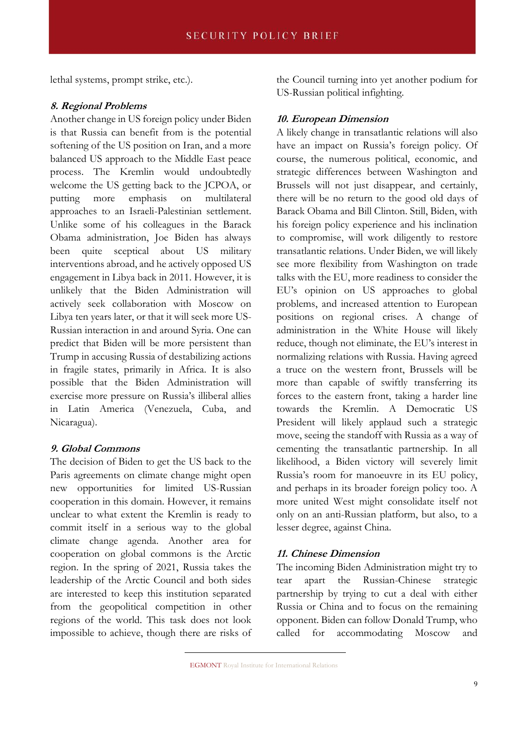lethal systems, prompt strike, etc.).

#### **8. Regional Problems**

Another change in US foreign policy under Biden is that Russia can benefit from is the potential softening of the US position on Iran, and a more balanced US approach to the Middle East peace process. The Kremlin would undoubtedly welcome the US getting back to the JCPOA, or putting more emphasis on multilateral approaches to an Israeli-Palestinian settlement. Unlike some of his colleagues in the Barack Obama administration, Joe Biden has always been quite sceptical about US military interventions abroad, and he actively opposed US engagement in Libya back in 2011. However, it is unlikely that the Biden Administration will actively seek collaboration with Moscow on Libya ten years later, or that it will seek more US-Russian interaction in and around Syria. One can predict that Biden will be more persistent than Trump in accusing Russia of destabilizing actions in fragile states, primarily in Africa. It is also possible that the Biden Administration will exercise more pressure on Russia's illiberal allies in Latin America (Venezuela, Cuba, and Nicaragua).

#### **9. Global Commons**

The decision of Biden to get the US back to the Paris agreements on climate change might open new opportunities for limited US-Russian cooperation in this domain. However, it remains unclear to what extent the Kremlin is ready to commit itself in a serious way to the global climate change agenda. Another area for cooperation on global commons is the Arctic region. In the spring of 2021, Russia takes the leadership of the Arctic Council and both sides are interested to keep this institution separated from the geopolitical competition in other regions of the world. This task does not look impossible to achieve, though there are risks of the Council turning into yet another podium for US-Russian political infighting.

#### **10. European Dimension**

A likely change in transatlantic relations will also have an impact on Russia's foreign policy. Of course, the numerous political, economic, and strategic differences between Washington and Brussels will not just disappear, and certainly, there will be no return to the good old days of Barack Obama and Bill Clinton. Still, Biden, with his foreign policy experience and his inclination to compromise, will work diligently to restore transatlantic relations. Under Biden, we will likely see more flexibility from Washington on trade talks with the EU, more readiness to consider the EU's opinion on US approaches to global problems, and increased attention to European positions on regional crises. A change of administration in the White House will likely reduce, though not eliminate, the EU's interest in normalizing relations with Russia. Having agreed a truce on the western front, Brussels will be more than capable of swiftly transferring its forces to the eastern front, taking a harder line towards the Kremlin. A Democratic US President will likely applaud such a strategic move, seeing the standoff with Russia as a way of cementing the transatlantic partnership. In all likelihood, a Biden victory will severely limit Russia's room for manoeuvre in its EU policy, and perhaps in its broader foreign policy too. A more united West might consolidate itself not only on an anti-Russian platform, but also, to a lesser degree, against China.

#### **11. Chinese Dimension**

The incoming Biden Administration might try to tear apart the Russian-Chinese strategic partnership by trying to cut a deal with either Russia or China and to focus on the remaining opponent. Biden can follow Donald Trump, who called for accommodating Moscow and

EGMONT Royal Institute for International Relations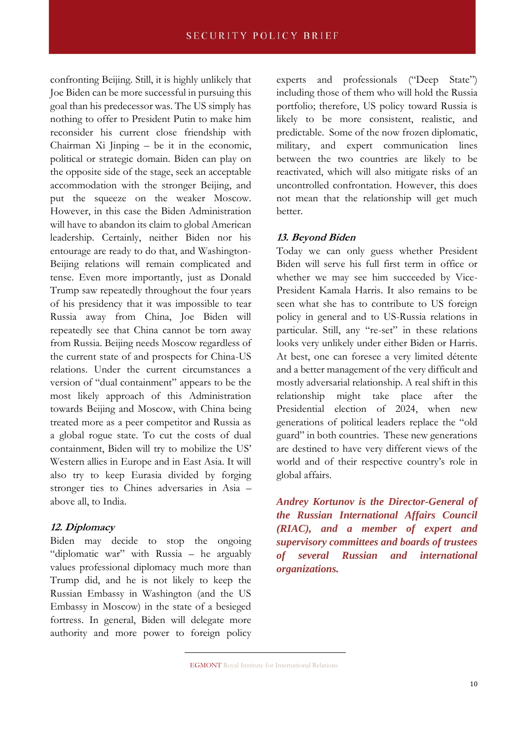confronting Beijing. Still, it is highly unlikely that Joe Biden can be more successful in pursuing this goal than his predecessor was. The US simply has nothing to offer to President Putin to make him reconsider his current close friendship with Chairman Xi Jinping – be it in the economic, political or strategic domain. Biden can play on the opposite side of the stage, seek an acceptable accommodation with the stronger Beijing, and put the squeeze on the weaker Moscow. However, in this case the Biden Administration will have to abandon its claim to global American leadership. Certainly, neither Biden nor his entourage are ready to do that, and Washington-Beijing relations will remain complicated and tense. Even more importantly, just as Donald Trump saw repeatedly throughout the four years of his presidency that it was impossible to tear Russia away from China, Joe Biden will repeatedly see that China cannot be torn away from Russia. Beijing needs Moscow regardless of the current state of and prospects for China-US relations. Under the current circumstances a version of "dual containment" appears to be the most likely approach of this Administration towards Beijing and Moscow, with China being treated more as a peer competitor and Russia as a global rogue state. To cut the costs of dual containment, Biden will try to mobilize the US' Western allies in Europe and in East Asia. It will also try to keep Eurasia divided by forging stronger ties to Chines adversaries in Asia – above all, to India.

#### **12. Diplomacy**

Biden may decide to stop the ongoing "diplomatic war" with Russia – he arguably values professional diplomacy much more than Trump did, and he is not likely to keep the Russian Embassy in Washington (and the US Embassy in Moscow) in the state of a besieged fortress. In general, Biden will delegate more authority and more power to foreign policy

experts and professionals ("Deep State") including those of them who will hold the Russia portfolio; therefore, US policy toward Russia is likely to be more consistent, realistic, and predictable. Some of the now frozen diplomatic, military, and expert communication lines between the two countries are likely to be reactivated, which will also mitigate risks of an uncontrolled confrontation. However, this does not mean that the relationship will get much better.

#### **13. Beyond Biden**

Today we can only guess whether President Biden will serve his full first term in office or whether we may see him succeeded by Vice-President Kamala Harris. It also remains to be seen what she has to contribute to US foreign policy in general and to US-Russia relations in particular. Still, any "re-set" in these relations looks very unlikely under either Biden or Harris. At best, one can foresee a very limited détente and a better management of the very difficult and mostly adversarial relationship. A real shift in this relationship might take place after the Presidential election of 2024, when new generations of political leaders replace the "old guard" in both countries. These new generations are destined to have very different views of the world and of their respective country's role in global affairs.

*Andrey Kortunov is the Director-General of the Russian International Affairs Council (RIAC), and a member of expert and supervisory committees and boards of trustees of several Russian and international organizations.*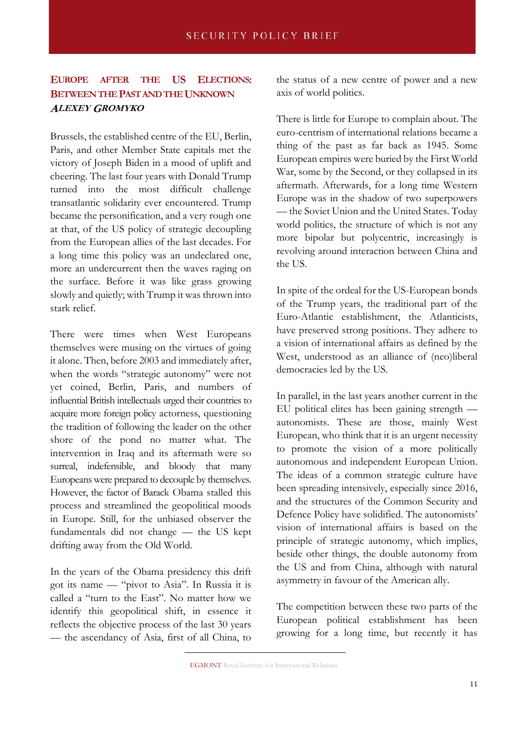# **EUROPE AFTER THE US ELECTIONS: BETWEEN THE PAST AND THE UNKNOWN ALEXEY GROMYKO**

Brussels, the established centre of the EU, Berlin, Paris, and other Member State capitals met the victory of Joseph Biden in a mood of uplift and cheering. The last four years with Donald Trump turned into the most difficult challenge transatlantic solidarity ever encountered. Trump became the personification, and a very rough one at that, of the US policy of strategic decoupling from the European allies of the last decades. For a long time this policy was an undeclared one, more an undercurrent then the waves raging on the surface. Before it was like grass growing slowly and quietly; with Trump it was thrown into stark relief.

There were times when West Europeans themselves were musing on the virtues of going it alone. Then, before 2003 and immediately after, when the words "strategic autonomy" were not yet coined, Berlin, Paris, and numbers of influential British intellectuals urged their countries to acquire more foreign policy actorness, questioning the tradition of following the leader on the other shore of the pond no matter what. The intervention in Iraq and its aftermath were so surreal, indefensible, and bloody that many Europeans were prepared to decouple by themselves. However, the factor of Barack Obama stalled this process and streamlined the geopolitical moods in Europe. Still, for the unbiased observer the fundamentals did not change — the US kept drifting away from the Old World.

In the years of the Obama presidency this drift got its name — "pivot to Asia". In Russia it is called a "turn to the East". No matter how we identify this geopolitical shift, in essence it reflects the objective process of the last 30 years — the ascendancy of Asia, first of all China, to the status of a new centre of power and a new axis of world politics.

There is little for Europe to complain about. The euro-centrism of international relations became a thing of the past as far back as 1945. Some European empires were buried by the First World War, some by the Second, or they collapsed in its aftermath. Afterwards, for a long time Western Europe was in the shadow of two superpowers — the Soviet Union and the United States. Today world politics, the structure of which is not any more bipolar but polycentric, increasingly is revolving around interaction between China and the US.

In spite of the ordeal for the US-European bonds of the Trump years, the traditional part of the Euro-Atlantic establishment, the Atlanticists, have preserved strong positions. They adhere to a vision of international affairs as defined by the West, understood as an alliance of (neo)liberal democracies led by the US.

In parallel, in the last years another current in the EU political elites has been gaining strength autonomists. These are those, mainly West European, who think that it is an urgent necessity to promote the vision of a more politically autonomous and independent European Union. The ideas of a common strategic culture have been spreading intensively, especially since 2016, and the structures of the Common Security and Defence Policy have solidified. The autonomists' vision of international affairs is based on the principle of strategic autonomy, which implies, beside other things, the double autonomy from the US and from China, although with natural asymmetry in favour of the American ally.

The competition between these two parts of the European political establishment has been growing for a long time, but recently it has

EGMONT Royal Institute for International Relations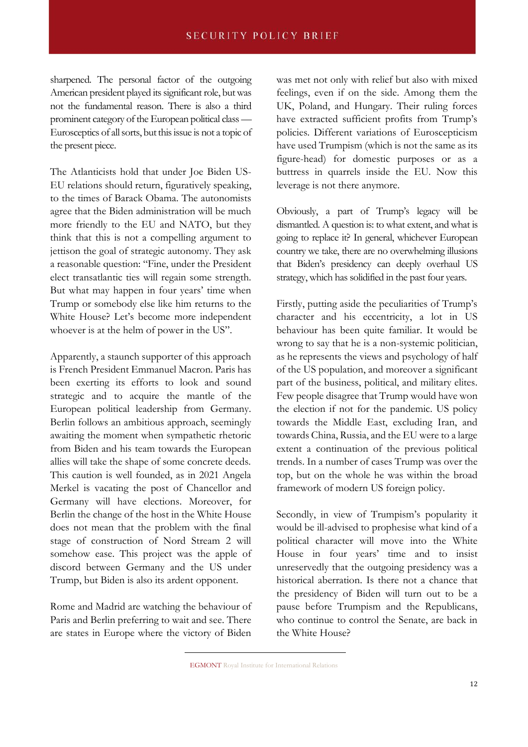sharpened. The personal factor of the outgoing American president played its significant role, but was not the fundamental reason. There is also a third prominent category of the European political class — Eurosceptics of all sorts, but this issue is not a topic of the present piece.

The Atlanticists hold that under Joe Biden US-EU relations should return, figuratively speaking, to the times of Barack Obama. The autonomists agree that the Biden administration will be much more friendly to the EU and NATO, but they think that this is not a compelling argument to jettison the goal of strategic autonomy. They ask a reasonable question: "Fine, under the President elect transatlantic ties will regain some strength. But what may happen in four years' time when Trump or somebody else like him returns to the White House? Let's become more independent whoever is at the helm of power in the US".

Apparently, a staunch supporter of this approach is French President Emmanuel Macron. Paris has been exerting its efforts to look and sound strategic and to acquire the mantle of the European political leadership from Germany. Berlin follows an ambitious approach, seemingly awaiting the moment when sympathetic rhetoric from Biden and his team towards the European allies will take the shape of some concrete deeds. This caution is well founded, as in 2021 Angela Merkel is vacating the post of Chancellor and Germany will have elections. Moreover, for Berlin the change of the host in the White House does not mean that the problem with the final stage of construction of Nord Stream 2 will somehow ease. This project was the apple of discord between Germany and the US under Trump, but Biden is also its ardent opponent.

Rome and Madrid are watching the behaviour of Paris and Berlin preferring to wait and see. There are states in Europe where the victory of Biden

was met not only with relief but also with mixed feelings, even if on the side. Among them the UK, Poland, and Hungary. Their ruling forces have extracted sufficient profits from Trump's policies. Different variations of Euroscepticism have used Trumpism (which is not the same as its figure-head) for domestic purposes or as a buttress in quarrels inside the EU. Now this leverage is not there anymore.

Obviously, a part of Trump's legacy will be dismantled. A question is: to what extent, and what is going to replace it? In general, whichever European country we take, there are no overwhelming illusions that Biden's presidency can deeply overhaul US strategy, which has solidified in the past four years.

Firstly, putting aside the peculiarities of Trump's character and his eccentricity, a lot in US behaviour has been quite familiar. It would be wrong to say that he is a non-systemic politician, as he represents the views and psychology of half of the US population, and moreover a significant part of the business, political, and military elites. Few people disagree that Trump would have won the election if not for the pandemic. US policy towards the Middle East, excluding Iran, and towards China, Russia, and the EU were to a large extent a continuation of the previous political trends. In a number of cases Trump was over the top, but on the whole he was within the broad framework of modern US foreign policy.

Secondly, in view of Trumpism's popularity it would be ill-advised to prophesise what kind of a political character will move into the White House in four years' time and to insist unreservedly that the outgoing presidency was a historical aberration. Is there not a chance that the presidency of Biden will turn out to be a pause before Trumpism and the Republicans, who continue to control the Senate, are back in the White House?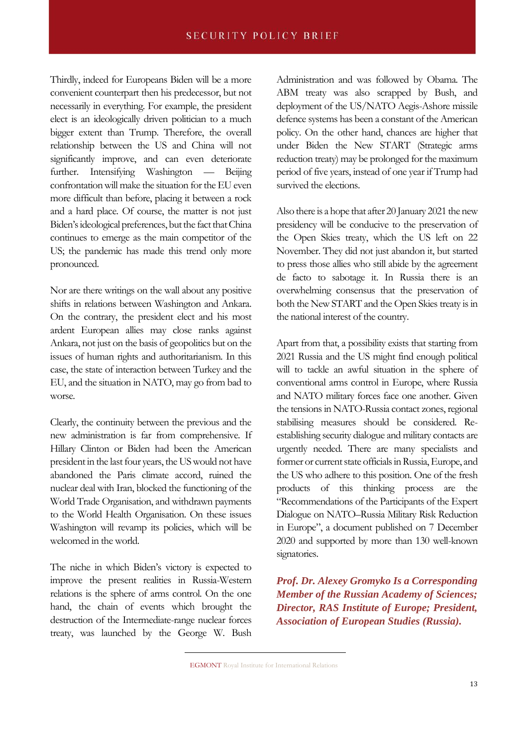Thirdly, indeed for Europeans Biden will be a more convenient counterpart then his predecessor, but not necessarily in everything. For example, the president elect is an ideologically driven politician to a much bigger extent than Trump. Therefore, the overall relationship between the US and China will not significantly improve, and can even deteriorate further. Intensifying Washington — Beijing confrontation will make the situation for the EU even more difficult than before, placing it between a rock and a hard place. Of course, the matter is not just Biden's ideological preferences, but the fact that China continues to emerge as the main competitor of the US; the pandemic has made this trend only more pronounced.

Nor are there writings on the wall about any positive shifts in relations between Washington and Ankara. On the contrary, the president elect and his most ardent European allies may close ranks against Ankara, not just on the basis of geopolitics but on the issues of human rights and authoritarianism. In this case, the state of interaction between Turkey and the EU, and the situation in NATO, may go from bad to worse.

Clearly, the continuity between the previous and the new administration is far from comprehensive. If Hillary Clinton or Biden had been the American president in the last four years, the US would not have abandoned the Paris climate accord, ruined the nuclear deal with Iran, blocked the functioning of the World Trade Organisation, and withdrawn payments to the World Health Organisation. On these issues Washington will revamp its policies, which will be welcomed in the world.

The niche in which Biden's victory is expected to improve the present realities in Russia-Western relations is the sphere of arms control. On the one hand, the chain of events which brought the destruction of the Intermediate-range nuclear forces treaty, was launched by the George W. Bush Administration and was followed by Obama. The ABM treaty was also scrapped by Bush, and deployment of the US/NATO Aegis-Ashore missile defence systems has been a constant of the American policy. On the other hand, chances are higher that under Biden the New START (Strategic arms reduction treaty) may be prolonged for the maximum period of five years, instead of one year if Trump had survived the elections.

Also there is a hope that after 20 January 2021 the new presidency will be conducive to the preservation of the Open Skies treaty, which the US left on 22 November. They did not just abandon it, but started to press those allies who still abide by the agreement de facto to sabotage it. In Russia there is an overwhelming consensus that the preservation of both the New START and the Open Skies treaty is in the national interest of the country.

Apart from that, a possibility exists that starting from 2021 Russia and the US might find enough political will to tackle an awful situation in the sphere of conventional arms control in Europe, where Russia and NATO military forces face one another. Given the tensions in NATO-Russia contact zones, regional stabilising measures should be considered. Reestablishing security dialogue and military contacts are urgently needed. There are many specialists and former or current state officials in Russia, Europe, and the US who adhere to this position. One of the fresh products of this thinking process are the "Recommendations of the Participants of the Expert Dialogue on NATO–Russia Military Risk Reduction in Europe", a document published on 7 December 2020 and supported by more than 130 well-known signatories.

*Prof. Dr. Alexey Gromyko Is a Corresponding Member of the Russian Academy of Sciences; Director, RAS Institute of Europe; President, Association of European Studies (Russia).*

EGMONT Royal Institute for International Relations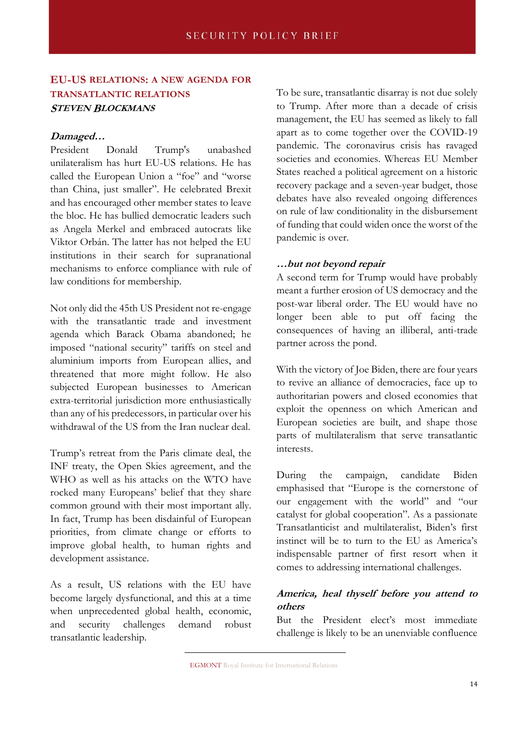# **EU-US RELATIONS: A NEW AGENDA FOR TRANSATLANTIC RELATIONS STEVEN BLOCKMANS**

#### **Damaged…**

President Donald Trump's unabashed unilateralism has hurt EU-US relations. He has called the European Union a "foe" and "worse than China, just smaller". He celebrated Brexit and has encouraged other member states to leave the bloc. He has bullied democratic leaders such as Angela Merkel and embraced autocrats like Viktor Orbán. The latter has not helped the EU institutions in their search for supranational mechanisms to enforce compliance with rule of law conditions for membership.

Not only did the 45th US President not re-engage with the transatlantic trade and investment agenda which Barack Obama abandoned; he imposed "national security" tariffs on steel and aluminium imports from European allies, and threatened that more might follow. He also subjected European businesses to American extra-territorial jurisdiction more enthusiastically than any of his predecessors, in particular over his withdrawal of the US from the Iran nuclear deal.

Trump's retreat from the Paris climate deal, the INF treaty, the Open Skies agreement, and the WHO as well as his attacks on the WTO have rocked many Europeans' belief that they share common ground with their most important ally. In fact, Trump has been disdainful of European priorities, from climate change or efforts to improve global health, to human rights and development assistance.

As a result, US relations with the EU have become largely dysfunctional, and this at a time when unprecedented global health, economic, and security challenges demand robust transatlantic leadership.

To be sure, transatlantic disarray is not due solely to Trump. After more than a decade of crisis management, the EU has seemed as likely to fall apart as to come together over the COVID-19 pandemic. The coronavirus crisis has ravaged societies and economies. Whereas EU Member States reached a political agreement on a historic recovery package and a seven-year budget, those debates have also revealed ongoing differences on rule of law conditionality in the disbursement of funding that could widen once the worst of the pandemic is over.

#### **…but not beyond repair**

A second term for Trump would have probably meant a further erosion of US democracy and the post-war liberal order. The EU would have no longer been able to put off facing the consequences of having an illiberal, anti-trade partner across the pond.

With the victory of Joe Biden, there are four years to revive an alliance of democracies, face up to authoritarian powers and closed economies that exploit the openness on which American and European societies are built, and shape those parts of multilateralism that serve transatlantic interests.

During the campaign, candidate Biden emphasised that "Europe is the cornerstone of our engagement with the world" and "our catalyst for global cooperation". As a passionate Transatlanticist and multilateralist, Biden's first instinct will be to turn to the EU as America's indispensable partner of first resort when it comes to addressing international challenges.

## **America, heal thyself before you attend to others**

But the President elect's most immediate challenge is likely to be an unenviable confluence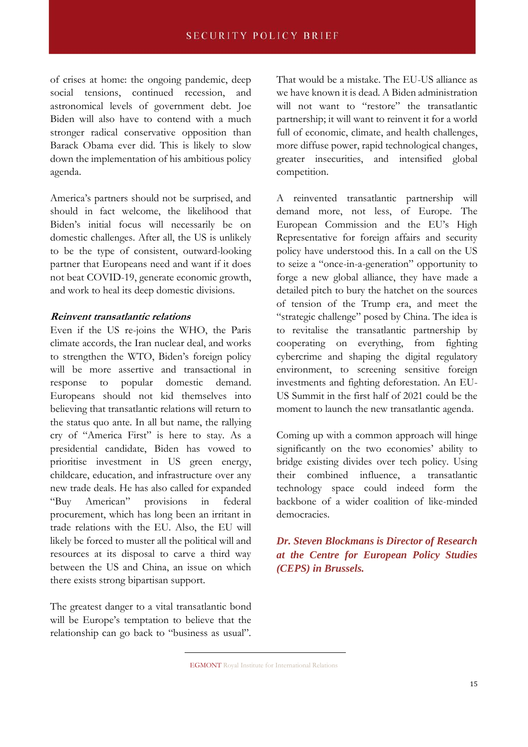of crises at home: the ongoing pandemic, deep social tensions, continued recession, and astronomical levels of government debt. Joe Biden will also have to contend with a much stronger radical conservative opposition than Barack Obama ever did. This is likely to slow down the implementation of his ambitious policy agenda.

America's partners should not be surprised, and should in fact welcome, the likelihood that Biden's initial focus will necessarily be on domestic challenges. After all, the US is unlikely to be the type of consistent, outward-looking partner that Europeans need and want if it does not beat COVID-19, generate economic growth, and work to heal its deep domestic divisions.

#### **Reinvent transatlantic relations**

Even if the US re-joins the WHO, the Paris climate accords, the Iran nuclear deal, and works to strengthen the WTO, Biden's foreign policy will be more assertive and transactional in response to popular domestic demand. Europeans should not kid themselves into believing that transatlantic relations will return to the status quo ante. In all but name, the rallying cry of "America First" is here to stay. As a presidential candidate, Biden has vowed to prioritise investment in US green energy, childcare, education, and infrastructure over any new trade deals. He has also called for expanded "Buy American" provisions in federal procurement, which has long been an irritant in trade relations with the EU. Also, the EU will likely be forced to muster all the political will and resources at its disposal to carve a third way between the US and China, an issue on which there exists strong bipartisan support.

The greatest danger to a vital transatlantic bond will be Europe's temptation to believe that the relationship can go back to "business as usual". That would be a mistake. The EU-US alliance as we have known it is dead. A Biden administration will not want to "restore" the transatlantic partnership; it will want to reinvent it for a world full of economic, climate, and health challenges, more diffuse power, rapid technological changes, greater insecurities, and intensified global competition.

A reinvented transatlantic partnership will demand more, not less, of Europe. The European Commission and the EU's High Representative for foreign affairs and security policy have understood this. In a call on the US to seize a "once-in-a-generation" opportunity to forge a new global alliance, they have made a detailed pitch to bury the hatchet on the sources of tension of the Trump era, and meet the "strategic challenge" posed by China. The idea is to revitalise the transatlantic partnership by cooperating on everything, from fighting cybercrime and shaping the digital regulatory environment, to screening sensitive foreign investments and fighting deforestation. An EU-US Summit in the first half of 2021 could be the moment to launch the new transatlantic agenda.

Coming up with a common approach will hinge significantly on the two economies' ability to bridge existing divides over tech policy. Using their combined influence, a transatlantic technology space could indeed form the backbone of a wider coalition of like-minded democracies.

*Dr. Steven Blockmans is Director of Research at the Centre for European Policy Studies (CEPS) in Brussels.*

EGMONT Royal Institute for International Relations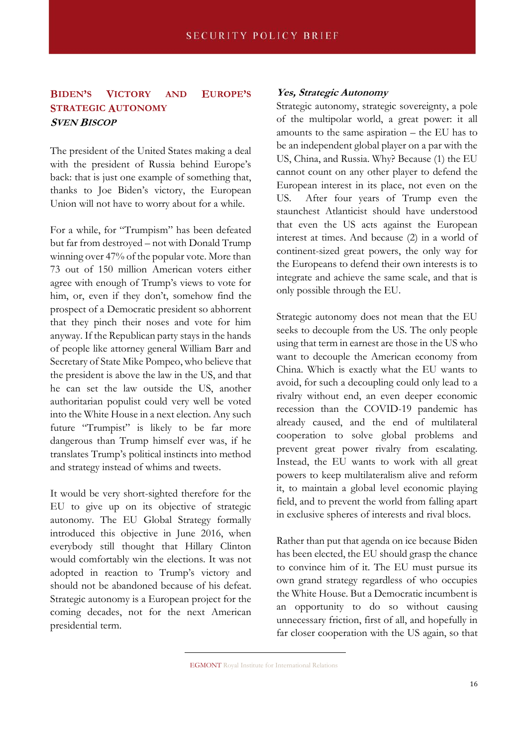## **BIDEN'S VICTORY AND EUROPE'S STRATEGIC AUTONOMY SVEN BISCOP**

The president of the United States making a deal with the president of Russia behind Europe's back: that is just one example of something that, thanks to Joe Biden's victory, the European Union will not have to worry about for a while.

For a while, for "Trumpism" has been defeated but far from destroyed – not with Donald Trump winning over 47% of the popular vote. More than 73 out of 150 million American voters either agree with enough of Trump's views to vote for him, or, even if they don't, somehow find the prospect of a Democratic president so abhorrent that they pinch their noses and vote for him anyway. If the Republican party stays in the hands of people like attorney general William Barr and Secretary of State Mike Pompeo, who believe that the president is above the law in the US, and that he can set the law outside the US, another authoritarian populist could very well be voted into the White House in a next election. Any such future "Trumpist" is likely to be far more dangerous than Trump himself ever was, if he translates Trump's political instincts into method and strategy instead of whims and tweets.

It would be very short-sighted therefore for the EU to give up on its objective of strategic autonomy. The EU Global Strategy formally introduced this objective in June 2016, when everybody still thought that Hillary Clinton would comfortably win the elections. It was not adopted in reaction to Trump's victory and should not be abandoned because of his defeat. Strategic autonomy is a European project for the coming decades, not for the next American presidential term.

#### **Yes, Strategic Autonomy**

Strategic autonomy, strategic sovereignty, a pole of the multipolar world, a great power: it all amounts to the same aspiration – the EU has to be an independent global player on a par with the US, China, and Russia. Why? Because (1) the EU cannot count on any other player to defend the European interest in its place, not even on the US. After four years of Trump even the staunchest Atlanticist should have understood that even the US acts against the European interest at times. And because (2) in a world of continent-sized great powers, the only way for the Europeans to defend their own interests is to integrate and achieve the same scale, and that is only possible through the EU.

Strategic autonomy does not mean that the EU seeks to decouple from the US. The only people using that term in earnest are those in the US who want to decouple the American economy from China. Which is exactly what the EU wants to avoid, for such a decoupling could only lead to a rivalry without end, an even deeper economic recession than the COVID-19 pandemic has already caused, and the end of multilateral cooperation to solve global problems and prevent great power rivalry from escalating. Instead, the EU wants to work with all great powers to keep multilateralism alive and reform it, to maintain a global level economic playing field, and to prevent the world from falling apart in exclusive spheres of interests and rival blocs.

Rather than put that agenda on ice because Biden has been elected, the EU should grasp the chance to convince him of it. The EU must pursue its own grand strategy regardless of who occupies the White House. But a Democratic incumbent is an opportunity to do so without causing unnecessary friction, first of all, and hopefully in far closer cooperation with the US again, so that

EGMONT Royal Institute for International Relations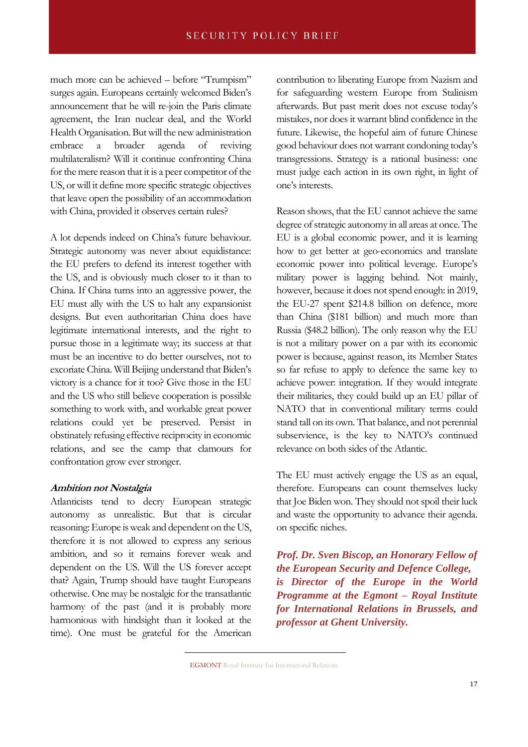much more can be achieved – before "Trumpism" surges again. Europeans certainly welcomed Biden's announcement that he will re-join the Paris climate agreement, the Iran nuclear deal, and the World Health Organisation. But will the new administration embrace a broader agenda of reviving multilateralism? Will it continue confronting China for the mere reason that it is a peer competitor of the US, or will it define more specific strategic objectives that leave open the possibility of an accommodation with China, provided it observes certain rules?

A lot depends indeed on China's future behaviour. Strategic autonomy was never about equidistance: the EU prefers to defend its interest together with the US, and is obviously much closer to it than to China. If China turns into an aggressive power, the EU must ally with the US to halt any expansionist designs. But even authoritarian China does have legitimate international interests, and the right to pursue those in a legitimate way; its success at that must be an incentive to do better ourselves, not to excoriate China. Will Beijing understand that Biden's victory is a chance for it too? Give those in the EU and the US who still believe cooperation is possible something to work with, and workable great power relations could yet be preserved. Persist in obstinately refusing effective reciprocity in economic relations, and see the camp that clamours for confrontation grow ever stronger.

#### **Ambition not Nostalgia**

Atlanticists tend to decry European strategic autonomy as unrealistic. But that is circular reasoning: Europe is weak and dependent on the US, therefore it is not allowed to express any serious ambition, and so it remains forever weak and dependent on the US. Will the US forever accept that? Again, Trump should have taught Europeans otherwise. One may be nostalgic for the transatlantic harmony of the past (and it is probably more harmonious with hindsight than it looked at the time). One must be grateful for the American contribution to liberating Europe from Nazism and for safeguarding western Europe from Stalinism afterwards. But past merit does not excuse today's mistakes, nor does it warrant blind confidence in the future. Likewise, the hopeful aim of future Chinese good behaviour does not warrant condoning today's transgressions. Strategy is a rational business: one must judge each action in its own right, in light of one's interests.

Reason shows, that the EU cannot achieve the same degree of strategic autonomy in all areas at once. The EU is a global economic power, and it is learning how to get better at geo-economics and translate economic power into political leverage. Europe's military power is lagging behind. Not mainly, however, because it does not spend enough: in 2019, the EU-27 spent \$214.8 billion on defence, more than China (\$181 billion) and much more than Russia (\$48.2 billion). The only reason why the EU is not a military power on a par with its economic power is because, against reason, its Member States so far refuse to apply to defence the same key to achieve power: integration. If they would integrate their militaries, they could build up an EU pillar of NATO that in conventional military terms could stand tall on its own. That balance, and not perennial subservience, is the key to NATO's continued relevance on both sides of the Atlantic.

The EU must actively engage the US as an equal, therefore. Europeans can count themselves lucky that Joe Biden won. They should not spoil their luck and waste the opportunity to advance their agenda. on specific niches.

*Prof. Dr. Sven Biscop, an Honorary Fellow of the European Security and Defence College, is Director of the Europe in the World Programme at the Egmont – Royal Institute for International Relations in Brussels, and professor at Ghent University.*